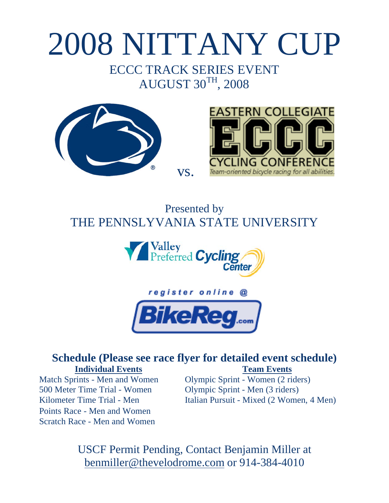# 2008 NITTANY CUP

## ECCC TRACK SERIES EVENT AUGUST 30TH, 2008





# Presented by THE PENNSLYVANIA STATE UNIVERSITY

vs.





### **Schedule (Please see race flyer for detailed event schedule) Individual Events Team Events**

500 Meter Time Trial - Women Olympic Sprint - Men (3 riders) Points Race - Men and Women Scratch Race - Men and Women

Match Sprints - Men and Women Olympic Sprint - Women (2 riders) Kilometer Time Trial - Men Italian Pursuit - Mixed (2 Women, 4 Men)

> USCF Permit Pending, Contact Benjamin Miller at benmiller@thevelodrome.com or 914-384-4010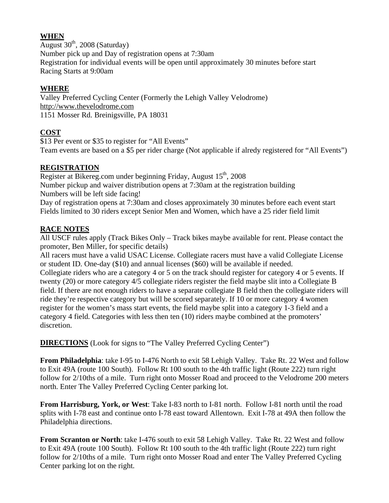#### **WHEN**

August  $30<sup>th</sup>$ , 2008 (Saturday) Number pick up and Day of registration opens at 7:30am Registration for individual events will be open until approximately 30 minutes before start Racing Starts at 9:00am

#### **WHERE**

Valley Preferred Cycling Center (Formerly the Lehigh Valley Velodrome) http://www.thevelodrome.com 1151 Mosser Rd. Breinigsville, PA 18031

#### **COST**

\$13 Per event or \$35 to register for "All Events" Team events are based on a \$5 per rider charge (Not applicable if alredy registered for "All Events")

#### **REGISTRATION**

Register at Bikereg.com under beginning Friday, August  $15<sup>th</sup>$ , 2008 Number pickup and waiver distribution opens at 7:30am at the registration building Numbers will be left side facing!

Day of registration opens at 7:30am and closes approximately 30 minutes before each event start Fields limited to 30 riders except Senior Men and Women, which have a 25 rider field limit

#### **RACE NOTES**

All USCF rules apply (Track Bikes Only – Track bikes maybe available for rent. Please contact the promoter, Ben Miller, for specific details)

All racers must have a valid USAC License. Collegiate racers must have a valid Collegiate License or student ID. One-day (\$10) and annual licenses (\$60) will be available if needed.

Collegiate riders who are a category 4 or 5 on the track should register for category 4 or 5 events. If twenty (20) or more category 4/5 collegiate riders register the field maybe slit into a Collegiate B field. If there are not enough riders to have a separate collegiate B field then the collegiate riders will ride they're respective category but will be scored separately. If 10 or more category 4 women register for the women's mass start events, the field maybe split into a category 1-3 field and a category 4 field. Categories with less then ten (10) riders maybe combined at the promoters' discretion.

**DIRECTIONS** (Look for signs to "The Valley Preferred Cycling Center")

**From Philadelphia**: take I-95 to I-476 North to exit 58 Lehigh Valley. Take Rt. 22 West and follow to Exit 49A (route 100 South). Follow Rt 100 south to the 4th traffic light (Route 222) turn right follow for 2/10ths of a mile. Turn right onto Mosser Road and proceed to the Velodrome 200 meters north. Enter The Valley Preferred Cycling Center parking lot.

**From Harrisburg, York, or West**: Take I-83 north to I-81 north. Follow I-81 north until the road splits with I-78 east and continue onto I-78 east toward Allentown. Exit I-78 at 49A then follow the Philadelphia directions.

**From Scranton or North**: take I-476 south to exit 58 Lehigh Valley. Take Rt. 22 West and follow to Exit 49A (route 100 South). Follow Rt 100 south to the 4th traffic light (Route 222) turn right follow for 2/10ths of a mile. Turn right onto Mosser Road and enter The Valley Preferred Cycling Center parking lot on the right.